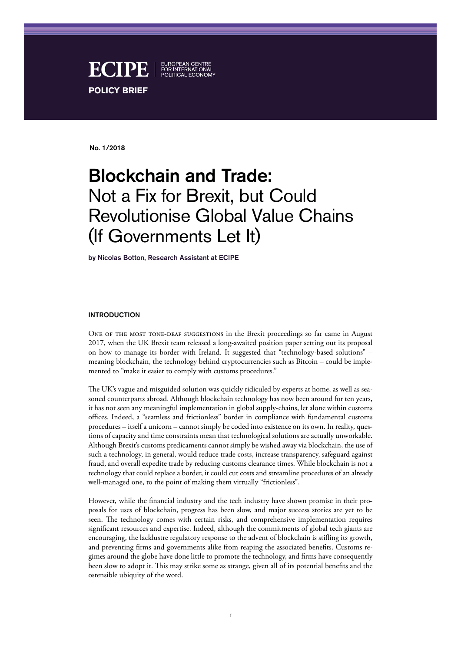

No. 1/2018

# Blockchain and Trade: Not a Fix for Brexit, but Could Revolutionise Global Value Chains (If Governments Let It)

by Nicolas Botton, Research Assistant at ECIPE

#### INTRODUCTION

ONE OF THE MOST TONE-DEAF SUGGESTIONS in the Brexit proceedings so far came in August 2017, when the UK Brexit team released a long-awaited position paper setting out its proposal on how to manage its border with Ireland. It suggested that "technology-based solutions" – meaning blockchain, the technology behind cryptocurrencies such as Bitcoin – could be implemented to "make it easier to comply with customs procedures."

The UK's vague and misguided solution was quickly ridiculed by experts at home, as well as seasoned counterparts abroad. Although blockchain technology has now been around for ten years, it has not seen any meaningful implementation in global supply-chains, let alone within customs offices. Indeed, a "seamless and frictionless" border in compliance with fundamental customs procedures – itself a unicorn – cannot simply be coded into existence on its own. In reality, questions of capacity and time constraints mean that technological solutions are actually unworkable. Although Brexit's customs predicaments cannot simply be wished away via blockchain, the use of such a technology, in general, would reduce trade costs, increase transparency, safeguard against fraud, and overall expedite trade by reducing customs clearance times. While blockchain is not a technology that could replace a border, it could cut costs and streamline procedures of an already well-managed one, to the point of making them virtually "frictionless".

However, while the financial industry and the tech industry have shown promise in their proposals for uses of blockchain, progress has been slow, and major success stories are yet to be seen. The technology comes with certain risks, and comprehensive implementation requires significant resources and expertise. Indeed, although the commitments of global tech giants are encouraging, the lacklustre regulatory response to the advent of blockchain is stifling its growth, and preventing firms and governments alike from reaping the associated benefits. Customs regimes around the globe have done little to promote the technology, and firms have consequently been slow to adopt it. This may strike some as strange, given all of its potential benefits and the ostensible ubiquity of the word.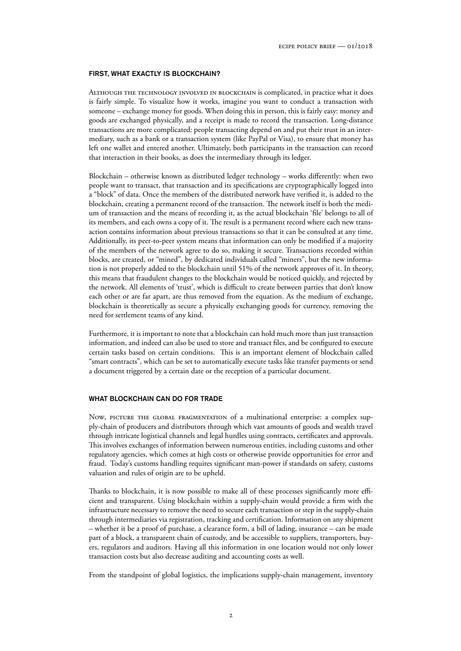### FIRST, WHAT EXACTLY IS BLOCKCHAIN?

Although the technology involved in blockchain is complicated, in practice what it does is fairly simple. To visualize how it works, imagine you want to conduct a transaction with someone – exchange money for goods. When doing this in person, this is fairly easy: money and goods are exchanged physically, and a receipt is made to record the transaction. Long-distance transactions are more complicated: people transacting depend on and put their trust in an intermediary, such as a bank or a transaction system (like PayPal or Visa), to ensure that money has left one wallet and entered another. Ultimately, both participants in the transaction can record that interaction in their books, as does the intermediary through its ledger.

Blockchain – otherwise known as distributed ledger technology – works differently: when two people want to transact, that transaction and its specifications are cryptographically logged into a "block" of data. Once the members of the distributed network have verified it, is added to the blockchain, creating a permanent record of the transaction. The network itself is both the medium of transaction and the means of recording it, as the actual blockchain 'file' belongs to all of its members, and each owns a copy of it. The result is a permanent record where each new transaction contains information about previous transactions so that it can be consulted at any time. Additionally, its peer-to-peer system means that information can only be modified if a majority of the members of the network agree to do so, making it secure. Transactions recorded within blocks, are created, or "mined", by dedicated individuals called "miners", but the new information is not properly added to the blockchain until 51% of the network approves of it. In theory, this means that fraudulent changes to the blockchain would be noticed quickly, and rejected by the network. All elements of 'trust', which is difficult to create between parties that don't know each other or are far apart, are thus removed from the equation. As the medium of exchange, blockchain is theoretically as secure a physically exchanging goods for currency, removing the need for settlement teams of any kind.

Furthermore, it is important to note that a blockchain can hold much more than just transaction information, and indeed can also be used to store and transact files, and be configured to execute certain tasks based on certain conditions. This is an important element of blockchain called "smart contracts", which can be set to automatically execute tasks like transfer payments or send a document triggered by a certain date or the reception of a particular document.

#### WHAT BLOCKCHAIN CAN DO FOR TRADE

Now, PICTURE THE GLOBAL FRAGMENTATION of a multinational enterprise: a complex supply-chain of producers and distributors through which vast amounts of goods and wealth travel through intricate logistical channels and legal hurdles using contracts, certificates and approvals. This involves exchanges of information between numerous entities, including customs and other regulatory agencies, which comes at high costs or otherwise provide opportunities for error and fraud. Today's customs handling requires significant man-power if standards on safety, customs valuation and rules of origin are to be upheld.

Thanks to blockchain, it is now possible to make all of these processes significantly more efficient and transparent. Using blockchain within a supply-chain would provide a firm with the infrastructure necessary to remove the need to secure each transaction or step in the supply-chain through intermediaries via registration, tracking and certification. Information on any shipment – whether it be a proof of purchase, a clearance form, a bill of lading, insurance – can be made part of a block, a transparent chain of custody, and be accessible to suppliers, transporters, buyers, regulators and auditors. Having all this information in one location would not only lower transaction costs but also decrease auditing and accounting costs as well.

From the standpoint of global logistics, the implications supply-chain management, inventory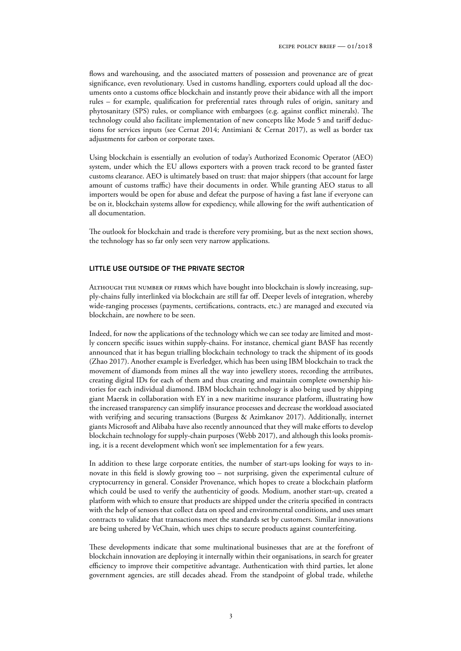flows and warehousing, and the associated matters of possession and provenance are of great significance, even revolutionary. Used in customs handling, exporters could upload all the documents onto a customs office blockchain and instantly prove their abidance with all the import rules – for example, qualification for preferential rates through rules of origin, sanitary and phytosanitary (SPS) rules, or compliance with embargoes (e.g. against conflict minerals). The technology could also facilitate implementation of new concepts like Mode 5 and tariff deductions for services inputs (see Cernat 2014; Antimiani & Cernat 2017), as well as border tax adjustments for carbon or corporate taxes.

Using blockchain is essentially an evolution of today's Authorized Economic Operator (AEO) system, under which the EU allows exporters with a proven track record to be granted faster customs clearance. AEO is ultimately based on trust: that major shippers (that account for large amount of customs traffic) have their documents in order. While granting AEO status to all importers would be open for abuse and defeat the purpose of having a fast lane if everyone can be on it, blockchain systems allow for expediency, while allowing for the swift authentication of all documentation.

The outlook for blockchain and trade is therefore very promising, but as the next section shows, the technology has so far only seen very narrow applications.

## LITTLE USE OUTSIDE OF THE PRIVATE SECTOR

Although the number of firms which have bought into blockchain is slowly increasing, supply-chains fully interlinked via blockchain are still far off. Deeper levels of integration, whereby wide-ranging processes (payments, certifications, contracts, etc.) are managed and executed via blockchain, are nowhere to be seen.

Indeed, for now the applications of the technology which we can see today are limited and mostly concern specific issues within supply-chains. For instance, chemical giant BASF has recently announced that it has begun trialling blockchain technology to track the shipment of its goods (Zhao 2017). Another example is Everledger, which has been using IBM blockchain to track the movement of diamonds from mines all the way into jewellery stores, recording the attributes, creating digital IDs for each of them and thus creating and maintain complete ownership histories for each individual diamond. IBM blockchain technology is also being used by shipping giant Maersk in collaboration with EY in a new maritime insurance platform, illustrating how the increased transparency can simplify insurance processes and decrease the workload associated with verifying and securing transactions (Burgess & Azimkanov 2017). Additionally, internet giants Microsoft and Alibaba have also recently announced that they will make efforts to develop blockchain technology for supply-chain purposes (Webb 2017), and although this looks promising, it is a recent development which won't see implementation for a few years.

In addition to these large corporate entities, the number of start-ups looking for ways to innovate in this field is slowly growing too – not surprising, given the experimental culture of cryptocurrency in general. Consider Provenance, which hopes to create a blockchain platform which could be used to verify the authenticity of goods. Modium, another start-up, created a platform with which to ensure that products are shipped under the criteria specified in contracts with the help of sensors that collect data on speed and environmental conditions, and uses smart contracts to validate that transactions meet the standards set by customers. Similar innovations are being ushered by VeChain, which uses chips to secure products against counterfeiting.

These developments indicate that some multinational businesses that are at the forefront of blockchain innovation are deploying it internally within their organisations, in search for greater efficiency to improve their competitive advantage. Authentication with third parties, let alone government agencies, are still decades ahead. From the standpoint of global trade, whilethe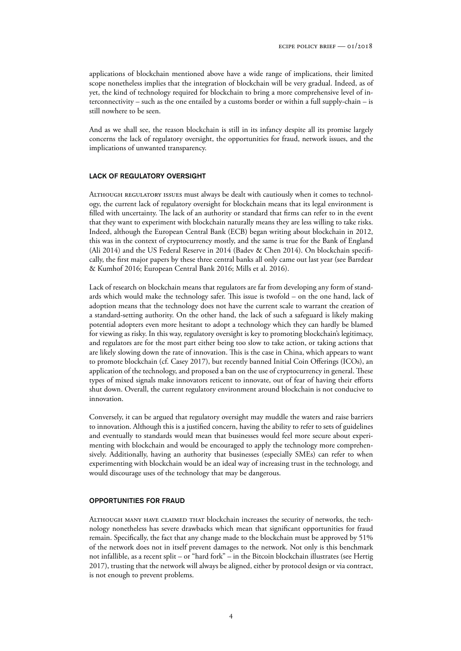applications of blockchain mentioned above have a wide range of implications, their limited scope nonetheless implies that the integration of blockchain will be very gradual. Indeed, as of yet, the kind of technology required for blockchain to bring a more comprehensive level of interconnectivity – such as the one entailed by a customs border or within a full supply-chain – is still nowhere to be seen.

And as we shall see, the reason blockchain is still in its infancy despite all its promise largely concerns the lack of regulatory oversight, the opportunities for fraud, network issues, and the implications of unwanted transparency.

## LACK OF REGULATORY OVERSIGHT

Although regulatory issues must always be dealt with cautiously when it comes to technology, the current lack of regulatory oversight for blockchain means that its legal environment is filled with uncertainty. The lack of an authority or standard that firms can refer to in the event that they want to experiment with blockchain naturally means they are less willing to take risks. Indeed, although the European Central Bank (ECB) began writing about blockchain in 2012, this was in the context of cryptocurrency mostly, and the same is true for the Bank of England (Ali 2014) and the US Federal Reserve in 2014 (Badev & Chen 2014). On blockchain specifically, the first major papers by these three central banks all only came out last year (see Barrdear & Kumhof 2016; European Central Bank 2016; Mills et al. 2016).

Lack of research on blockchain means that regulators are far from developing any form of standards which would make the technology safer. This issue is twofold – on the one hand, lack of adoption means that the technology does not have the current scale to warrant the creation of a standard-setting authority. On the other hand, the lack of such a safeguard is likely making potential adopters even more hesitant to adopt a technology which they can hardly be blamed for viewing as risky. In this way, regulatory oversight is key to promoting blockchain's legitimacy, and regulators are for the most part either being too slow to take action, or taking actions that are likely slowing down the rate of innovation. This is the case in China, which appears to want to promote blockchain (cf. Casey 2017), but recently banned Initial Coin Offerings (ICOs), an application of the technology, and proposed a ban on the use of cryptocurrency in general. These types of mixed signals make innovators reticent to innovate, out of fear of having their efforts shut down. Overall, the current regulatory environment around blockchain is not conducive to innovation.

Conversely, it can be argued that regulatory oversight may muddle the waters and raise barriers to innovation. Although this is a justified concern, having the ability to refer to sets of guidelines and eventually to standards would mean that businesses would feel more secure about experimenting with blockchain and would be encouraged to apply the technology more comprehensively. Additionally, having an authority that businesses (especially SMEs) can refer to when experimenting with blockchain would be an ideal way of increasing trust in the technology, and would discourage uses of the technology that may be dangerous.

#### OPPORTUNITIES FOR FRAUD

Although many have claimed that blockchain increases the security of networks, the technology nonetheless has severe drawbacks which mean that significant opportunities for fraud remain. Specifically, the fact that any change made to the blockchain must be approved by 51% of the network does not in itself prevent damages to the network. Not only is this benchmark not infallible, as a recent split – or "hard fork" – in the Bitcoin blockchain illustrates (see Hertig 2017), trusting that the network will always be aligned, either by protocol design or via contract, is not enough to prevent problems.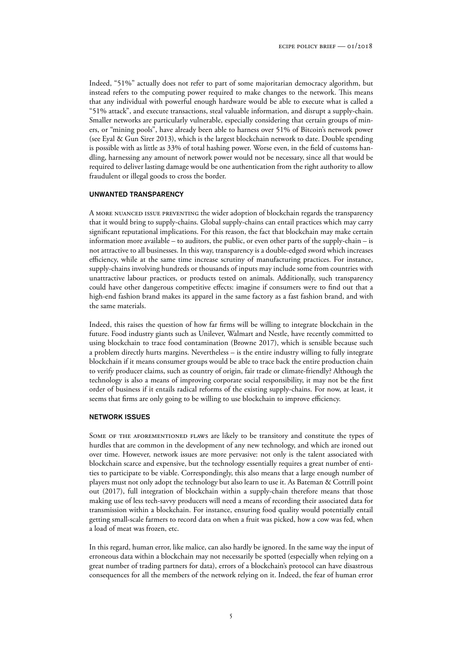Indeed, "51%" actually does not refer to part of some majoritarian democracy algorithm, but instead refers to the computing power required to make changes to the network. This means that any individual with powerful enough hardware would be able to execute what is called a "51% attack", and execute transactions, steal valuable information, and disrupt a supply-chain. Smaller networks are particularly vulnerable, especially considering that certain groups of miners, or "mining pools", have already been able to harness over 51% of Bitcoin's network power (see Eyal & Gun Sirer 2013), which is the largest blockchain network to date. Double spending is possible with as little as 33% of total hashing power. Worse even, in the field of customs handling, harnessing any amount of network power would not be necessary, since all that would be required to deliver lasting damage would be one authentication from the right authority to allow fraudulent or illegal goods to cross the border.

#### UNWANTED TRANSPARENCY

A MORE NUANCED ISSUE PREVENTING the wider adoption of blockchain regards the transparency that it would bring to supply-chains. Global supply-chains can entail practices which may carry significant reputational implications. For this reason, the fact that blockchain may make certain information more available – to auditors, the public, or even other parts of the supply-chain – is not attractive to all businesses. In this way, transparency is a double-edged sword which increases efficiency, while at the same time increase scrutiny of manufacturing practices. For instance, supply-chains involving hundreds or thousands of inputs may include some from countries with unattractive labour practices, or products tested on animals. Additionally, such transparency could have other dangerous competitive effects: imagine if consumers were to find out that a high-end fashion brand makes its apparel in the same factory as a fast fashion brand, and with the same materials.

Indeed, this raises the question of how far firms will be willing to integrate blockchain in the future. Food industry giants such as Unilever, Walmart and Nestle, have recently committed to using blockchain to trace food contamination (Browne 2017), which is sensible because such a problem directly hurts margins. Nevertheless – is the entire industry willing to fully integrate blockchain if it means consumer groups would be able to trace back the entire production chain to verify producer claims, such as country of origin, fair trade or climate-friendly? Although the technology is also a means of improving corporate social responsibility, it may not be the first order of business if it entails radical reforms of the existing supply-chains. For now, at least, it seems that firms are only going to be willing to use blockchain to improve efficiency.

#### NETWORK ISSUES

Some of the aforementioned flaws are likely to be transitory and constitute the types of hurdles that are common in the development of any new technology, and which are ironed out over time. However, network issues are more pervasive: not only is the talent associated with blockchain scarce and expensive, but the technology essentially requires a great number of entities to participate to be viable. Correspondingly, this also means that a large enough number of players must not only adopt the technology but also learn to use it. As Bateman & Cottrill point out (2017), full integration of blockchain within a supply-chain therefore means that those making use of less tech-savvy producers will need a means of recording their associated data for transmission within a blockchain. For instance, ensuring food quality would potentially entail getting small-scale farmers to record data on when a fruit was picked, how a cow was fed, when a load of meat was frozen, etc.

In this regard, human error, like malice, can also hardly be ignored. In the same way the input of erroneous data within a blockchain may not necessarily be spotted (especially when relying on a great number of trading partners for data), errors of a blockchain's protocol can have disastrous consequences for all the members of the network relying on it. Indeed, the fear of human error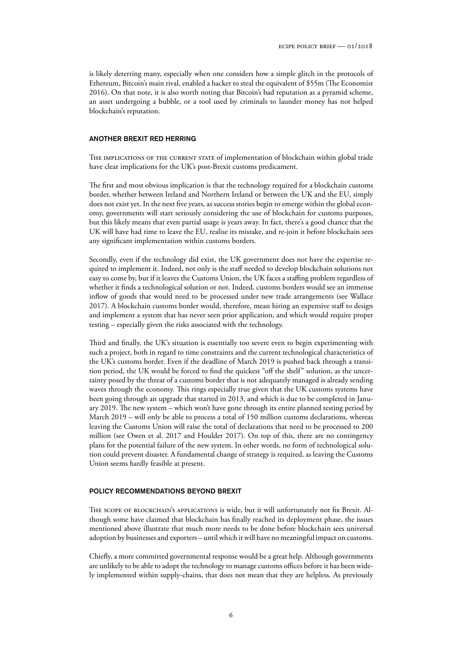is likely deterring many, especially when one considers how a simple glitch in the protocols of Ethereum, Bitcoin's main rival, enabled a hacker to steal the equivalent of \$55m (The Economist 2016). On that note, it is also worth noting that Bitcoin's bad reputation as a pyramid scheme, an asset undergoing a bubble, or a tool used by criminals to launder money has not helped blockchain's reputation.

## ANOTHER BREXIT RED HERRING

THE IMPLICATIONS OF THE CURRENT STATE of implementation of blockchain within global trade have clear implications for the UK's post-Brexit customs predicament.

The first and most obvious implication is that the technology required for a blockchain customs border, whether between Ireland and Northern Ireland or between the UK and the EU, simply does not exist yet. In the next five years, as success stories begin to emerge within the global economy, governments will start seriously considering the use of blockchain for customs purposes, but this likely means that even partial usage is years away. In fact, there's a good chance that the UK will have had time to leave the EU, realise its mistake, and re-join it before blockchain sees any significant implementation within customs borders.

Secondly, even if the technology did exist, the UK government does not have the expertise required to implement it. Indeed, not only is the staff needed to develop blockchain solutions not easy to come by, but if it leaves the Customs Union, the UK faces a staffing problem regardless of whether it finds a technological solution or not. Indeed, customs borders would see an immense inflow of goods that would need to be processed under new trade arrangements (see Wallace 2017). A blockchain customs border would, therefore, mean hiring an expensive staff to design and implement a system that has never seen prior application, and which would require proper testing – especially given the risks associated with the technology.

Third and finally, the UK's situation is essentially too severe even to begin experimenting with such a project, both in regard to time constraints and the current technological characteristics of the UK's customs border. Even if the deadline of March 2019 is pushed back through a transition period, the UK would be forced to find the quickest "off the shelf" solution, as the uncertainty posed by the threat of a customs border that is not adequately managed is already sending waves through the economy. This rings especially true given that the UK customs systems have been going through an upgrade that started in 2013, and which is due to be completed in January 2019. The new system – which won't have gone through its entire planned testing period by March 2019 – will only be able to process a total of 150 million customs declarations, whereas leaving the Customs Union will raise the total of declarations that need to be processed to 200 million (see Owen et al. 2017 and Houlder 2017). On top of this, there are no contingency plans for the potential failure of the new system. In other words, no form of technological solution could prevent disaster. A fundamental change of strategy is required, as leaving the Customs Union seems hardly feasible at present.

## POLICY RECOMMENDATIONS BEYOND BREXIT

The scope of blockchain's applications is wide, but it will unfortunately not fix Brexit. Although some have claimed that blockchain has finally reached its deployment phase, the issues mentioned above illustrate that much more needs to be done before blockchain sees universal adoption by businesses and exporters – until which it will have no meaningful impact on customs.

Chiefly, a more committed governmental response would be a great help. Although governments are unlikely to be able to adopt the technology to manage customs offices before it has been widely implemented within supply-chains, that does not mean that they are helpless. As previously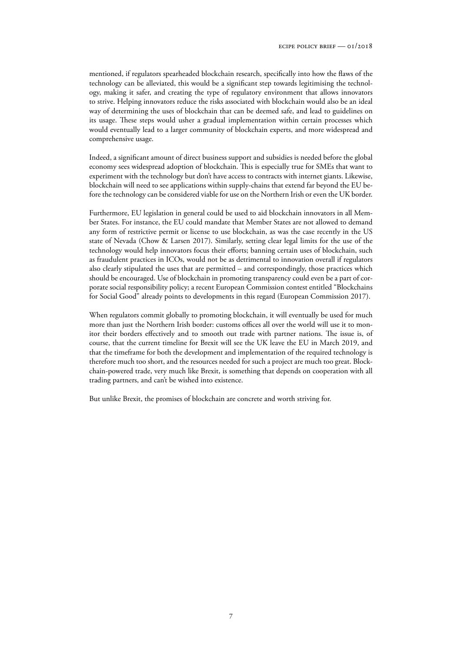mentioned, if regulators spearheaded blockchain research, specifically into how the flaws of the technology can be alleviated, this would be a significant step towards legitimising the technology, making it safer, and creating the type of regulatory environment that allows innovators to strive. Helping innovators reduce the risks associated with blockchain would also be an ideal way of determining the uses of blockchain that can be deemed safe, and lead to guidelines on its usage. These steps would usher a gradual implementation within certain processes which would eventually lead to a larger community of blockchain experts, and more widespread and comprehensive usage.

Indeed, a significant amount of direct business support and subsidies is needed before the global economy sees widespread adoption of blockchain. This is especially true for SMEs that want to experiment with the technology but don't have access to contracts with internet giants. Likewise, blockchain will need to see applications within supply-chains that extend far beyond the EU before the technology can be considered viable for use on the Northern Irish or even the UK border.

Furthermore, EU legislation in general could be used to aid blockchain innovators in all Member States. For instance, the EU could mandate that Member States are not allowed to demand any form of restrictive permit or license to use blockchain, as was the case recently in the US state of Nevada (Chow & Larsen 2017). Similarly, setting clear legal limits for the use of the technology would help innovators focus their efforts; banning certain uses of blockchain, such as fraudulent practices in ICOs, would not be as detrimental to innovation overall if regulators also clearly stipulated the uses that are permitted – and correspondingly, those practices which should be encouraged. Use of blockchain in promoting transparency could even be a part of corporate social responsibility policy; a recent European Commission contest entitled "Blockchains for Social Good" already points to developments in this regard (European Commission 2017).

When regulators commit globally to promoting blockchain, it will eventually be used for much more than just the Northern Irish border: customs offices all over the world will use it to monitor their borders effectively and to smooth out trade with partner nations. The issue is, of course, that the current timeline for Brexit will see the UK leave the EU in March 2019, and that the timeframe for both the development and implementation of the required technology is therefore much too short, and the resources needed for such a project are much too great. Blockchain-powered trade, very much like Brexit, is something that depends on cooperation with all trading partners, and can't be wished into existence.

But unlike Brexit, the promises of blockchain are concrete and worth striving for.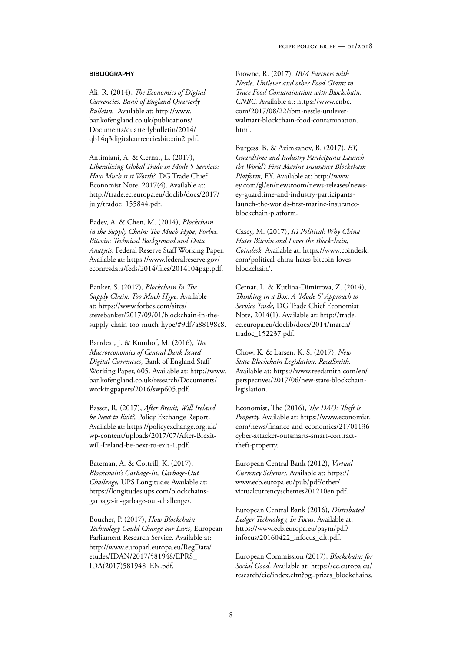## **BIBLIOGRAPHY**

Ali, R. (2014), *The Economics of Digital Currencies, Bank of England Quarterly Bulletin.* Available at: http://www. bankofengland.co.uk/publications/ Documents/quarterlybulletin/2014/ qb14q3digitalcurrenciesbitcoin2.pdf.

Antimiani, A. & Cernat, L. (2017), *Liberalizing Global Trade in Mode 5 Services: How Much is it Worth?,* DG Trade Chief Economist Note, 2017(4). Available at: http://trade.ec.europa.eu/doclib/docs/2017/ july/tradoc\_155844.pdf.

Badev, A. & Chen, M. (2014), *Blockchain in the Supply Chain: Too Much Hype, Forbes. Bitcoin: Technical Background and Data Analysis,* Federal Reserve Staff Working Paper. Available at: https://www.federalreserve.gov/ econresdata/feds/2014/files/2014104pap.pdf.

Banker, S. (2017), *Blockchain In The Supply Chain: Too Much Hype.* Available at: https://www.forbes.com/sites/ stevebanker/2017/09/01/blockchain-in-thesupply-chain-too-much-hype/#9df7a88198c8.

Barrdear, J. & Kumhof, M. (2016), *The Macroeconomics of Central Bank Issued Digital Currencies,* Bank of England Staff Working Paper, 605. Available at: http://www. bankofengland.co.uk/research/Documents/ workingpapers/2016/swp605.pdf.

Basset, R. (2017), *After Brexit, Will Ireland be Next to Exit?,* Policy Exchange Report. Available at: https://policyexchange.org.uk/ wp-content/uploads/2017/07/After-Brexitwill-Ireland-be-next-to-exit-1.pdf.

Bateman, A. & Cottrill, K. (2017), *Blockchain's Garbage-In, Garbage-Out Challenge,* UPS Longitudes Available at: https://longitudes.ups.com/blockchainsgarbage-in-garbage-out-challenge/.

Boucher, P. (2017), *How Blockchain Technology Could Change our Lives,* European Parliament Research Service. Available at: http://www.europarl.europa.eu/RegData/ etudes/IDAN/2017/581948/EPRS\_ IDA(2017)581948\_EN.pdf.

Browne, R. (2017), *IBM Partners with Nestle, Unilever and other Food Giants to Trace Food Contamination with Blockchain, CNBC.* Available at: https://www.cnbc. com/2017/08/22/ibm-nestle-unileverwalmart-blockchain-food-contamination. html.

Burgess, B. & Azimkanov, B. (2017), *EY, Guardtime and Industry Participants Launch the World's First Marine Insurance Blockchain Platform,* EY. Available at: http://www. ey.com/gl/en/newsroom/news-releases/newsey-guardtime-and-industry-participantslaunch-the-worlds-first-marine-insuranceblockchain-platform.

Casey, M. (2017), *It's Political: Why China Hates Bitcoin and Loves the Blockchain, Coindesk.* Available at: https://www.coindesk. com/political-china-hates-bitcoin-lovesblockchain/.

Cernat, L. & Kutlina-Dimitrova, Z. (2014), *Thinking in a Box: A 'Mode 5' Approach to Service Trade,* DG Trade Chief Economist Note, 2014(1). Available at: http://trade. ec.europa.eu/doclib/docs/2014/march/ tradoc\_152237.pdf.

Chow, K. & Larsen, K. S. (2017), *New State Blockchain Legislation, ReedSmith.* Available at: https://www.reedsmith.com/en/ perspectives/2017/06/new-state-blockchainlegislation.

Economist, The (2016), *The DAO: Theft is Property.* Available at: https://www.economist. com/news/finance-and-economics/21701136 cyber-attacker-outsmarts-smart-contracttheft-property.

European Central Bank (2012), *Virtual Currency Schemes.* Available at: https:// www.ecb.europa.eu/pub/pdf/other/ virtualcurrencyschemes201210en.pdf.

European Central Bank (2016), *Distributed Ledger Technology, In Focus.* Available at: https://www.ecb.europa.eu/paym/pdf/ infocus/20160422\_infocus\_dlt.pdf.

European Commission (2017), *Blockchains for Social Good.* Available at: https://ec.europa.eu/ research/eic/index.cfm?pg=prizes\_blockchains.